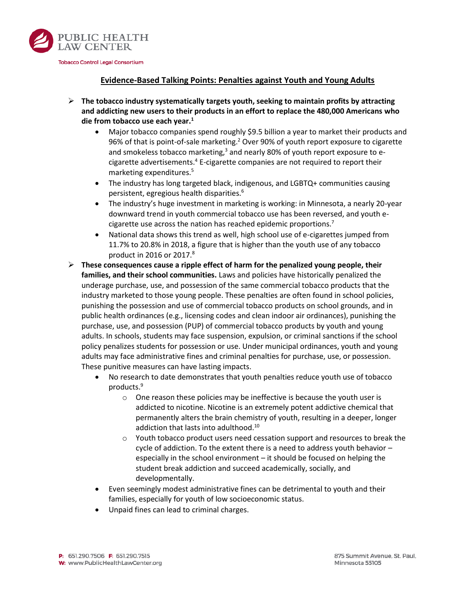

## **Evidence-Based Talking Points: Penalties against Youth and Young Adults**

- **The tobacco industry systematically targets youth, seeking to maintain profits by attracting and addicting new users to their products in an effort to replace the 480,000 Americans who die from tobacco use each year.<sup>1</sup>**
	- Major tobacco companies spend roughly \$9.5 billion a year to market their products and 96% of that is point-of-sale marketing.<sup>2</sup> Over 90% of youth report exposure to cigarette and smokeless tobacco marketing, $3$  and nearly 80% of youth report exposure to ecigarette advertisements.<sup>4</sup> E-cigarette companies are not required to report their marketing expenditures.<sup>5</sup>
	- The industry has long targeted black, indigenous, and LGBTQ+ communities causing persistent, egregious health disparities.<sup>6</sup>
	- The industry's huge investment in marketing is working: in Minnesota, a nearly 20-year downward trend in youth commercial tobacco use has been reversed, and youth ecigarette use across the nation has reached epidemic proportions.<sup>7</sup>
	- National data shows this trend as well, high school use of e-cigarettes jumped from 11.7% to 20.8% in 2018, a figure that is higher than the youth use of any tobacco product in 2016 or 2017. $8$
- **These consequences cause a ripple effect of harm for the penalized young people, their families, and their school communities.** Laws and policies have historically penalized the underage purchase, use, and possession of the same commercial tobacco products that the industry marketed to those young people. These penalties are often found in school policies, punishing the possession and use of commercial tobacco products on school grounds, and in public health ordinances (e.g., licensing codes and clean indoor air ordinances), punishing the purchase, use, and possession (PUP) of commercial tobacco products by youth and young adults. In schools, students may face suspension, expulsion, or criminal sanctions if the school policy penalizes students for possession or use. Under municipal ordinances, youth and young adults may face administrative fines and criminal penalties for purchase, use, or possession. These punitive measures can have lasting impacts.
	- No research to date demonstrates that youth penalties reduce youth use of tobacco products.<sup>9</sup>
		- o One reason these policies may be ineffective is because the youth user is addicted to nicotine. Nicotine is an extremely potent addictive chemical that permanently alters the brain chemistry of youth, resulting in a deeper, longer addiction that lasts into adulthood.<sup>10</sup>
		- o Youth tobacco product users need cessation support and resources to break the cycle of addiction. To the extent there is a need to address youth behavior – especially in the school environment – it should be focused on helping the student break addiction and succeed academically, socially, and developmentally.
	- Even seemingly modest administrative fines can be detrimental to youth and their families, especially for youth of low socioeconomic status.
	- Unpaid fines can lead to criminal charges.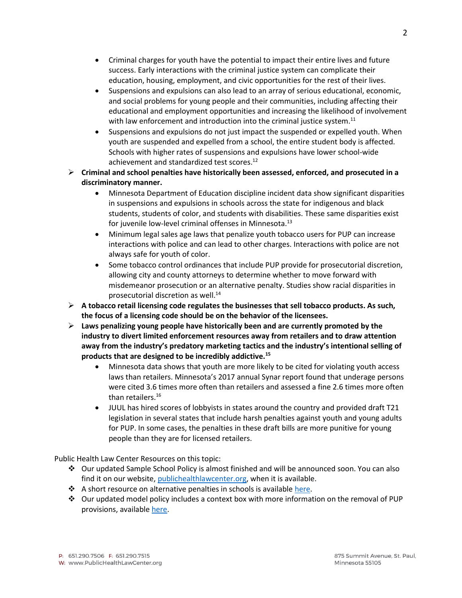- Criminal charges for youth have the potential to impact their entire lives and future success. Early interactions with the criminal justice system can complicate their education, housing, employment, and civic opportunities for the rest of their lives.
- Suspensions and expulsions can also lead to an array of serious educational, economic, and social problems for young people and their communities, including affecting their educational and employment opportunities and increasing the likelihood of involvement with law enforcement and introduction into the criminal justice system.<sup>11</sup>
- Suspensions and expulsions do not just impact the suspended or expelled youth. When youth are suspended and expelled from a school, the entire student body is affected. Schools with higher rates of suspensions and expulsions have lower school-wide achievement and standardized test scores.<sup>12</sup>
- **Criminal and school penalties have historically been assessed, enforced, and prosecuted in a discriminatory manner.**
	- Minnesota Department of Education discipline incident data show significant disparities in suspensions and expulsions in schools across the state for indigenous and black students, students of color, and students with disabilities. These same disparities exist for juvenile low-level criminal offenses in Minnesota.<sup>13</sup>
	- Minimum legal sales age laws that penalize youth tobacco users for PUP can increase interactions with police and can lead to other charges. Interactions with police are not always safe for youth of color.
	- Some tobacco control ordinances that include PUP provide for prosecutorial discretion, allowing city and county attorneys to determine whether to move forward with misdemeanor prosecution or an alternative penalty. Studies show racial disparities in prosecutorial discretion as well. $^{14}$
- **A tobacco retail licensing code regulates the businesses that sell tobacco products. As such, the focus of a licensing code should be on the behavior of the licensees.**
- **Laws penalizing young people have historically been and are currently promoted by the industry to divert limited enforcement resources away from retailers and to draw attention away from the industry's predatory marketing tactics and the industry's intentional selling of products that are designed to be incredibly addictive.<sup>15</sup>**
	- Minnesota data shows that youth are more likely to be cited for violating youth access laws than retailers. Minnesota's 2017 annual Synar report found that underage persons were cited 3.6 times more often than retailers and assessed a fine 2.6 times more often than retailers.<sup>16</sup>
	- JUUL has hired scores of lobbyists in states around the country and provided draft T21 legislation in several states that include harsh penalties against youth and young adults for PUP. In some cases, the penalties in these draft bills are more punitive for young people than they are for licensed retailers.

Public Health Law Center Resources on this topic:

- Our updated Sample School Policy is almost finished and will be announced soon. You can also find it on our website, [publichealthlawcenter.org,](https://www.publichealthlawcenter.org/) when it is available.
- $\cdot$  A short resource on alternative penalties in schools is availabl[e here.](https://www.publichealthlawcenter.org/sites/default/files/resources/Addressing-Student-Tobacco-Use-in-Schools-2019.pdf)
- $\cdot \cdot$  Our updated model policy includes a context box with more information on the removal of PUP provisions, available [here.](https://www.publichealthlawcenter.org/sites/default/files/resources/MN-County-Retail-Tobacco-Lic-Ord.pdf)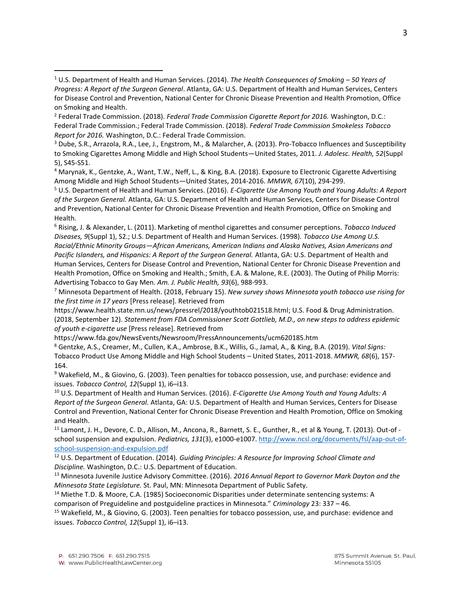<sup>7</sup> Minnesota Department of Health. (2018, February 15). *New survey shows Minnesota youth tobacco use rising for the first time in 17 years* [Press release]. Retrieved from

https://www.health.state.mn.us/news/pressrel/2018/youthtob021518.html; U.S. Food & Drug Administration. (2018, September 12). *Statement from FDA Commissioner Scott Gottlieb, M.D., on new steps to address epidemic of youth e-cigarette use* [Press release]. Retrieved from

<sup>8</sup> Gentzke, A.S., Creamer, M., Cullen, K.A., Ambrose, B.K., Willis, G., Jamal, A., & King, B.A. (2019). *Vital Signs:* Tobacco Product Use Among Middle and High School Students – United States, 2011-2018. *MMWR, 68*(6), 157- 164.

<sup>9</sup> Wakefield, M., & Giovino, G. (2003). Teen penalties for tobacco possession, use, and purchase: evidence and issues. *Tobacco Control, 12*(Suppl 1), i6–i13.

<sup>10</sup> U.S. Department of Health and Human Services. (2016). *E-Cigarette Use Among Youth and Young Adults: A Report of the Surgeon General.* Atlanta, GA: U.S. Department of Health and Human Services, Centers for Disease Control and Prevention, National Center for Chronic Disease Prevention and Health Promotion, Office on Smoking and Health.

 $11$  Lamont, J. H., Devore, C. D., Allison, M., Ancona, R., Barnett, S. E., Gunther, R., et al & Young, T. (2013). Out-of school suspension and expulsion. *Pediatrics, 131*(3), e1000-e1007. [http://www.ncsl.org/documents/fsl/aap-out-of](http://www.ncsl.org/documents/fsl/aap-out-of-school-suspension-and-expulsion.pdf)[school-suspension-and-expulsion.pdf](http://www.ncsl.org/documents/fsl/aap-out-of-school-suspension-and-expulsion.pdf)

<sup>12</sup> U.S. Department of Education. (2014). *Guiding Principles: A Resource for Improving School Climate and Discipline.* Washington, D.C.: U.S. Department of Education.

<sup>13</sup> Minnesota Juvenile Justice Advisory Committee. (2016). *2016 Annual Report to Governor Mark Dayton and the Minnesota State Legislature.* St. Paul, MN: Minnesota Department of Public Safety.

<sup>14</sup> Miethe T.D. & Moore, C.A. (1985) Socioeconomic Disparities under determinate sentencing systems: A comparison of Preguideline and postguideline practices in Minnesota." *Criminology* 23: 337 – 46.

<sup>15</sup> Wakefield, M., & Giovino, G. (2003). Teen penalties for tobacco possession, use, and purchase: evidence and issues. *Tobacco Control, 12*(Suppl 1), i6–i13.

 $\overline{a}$ 

<sup>1</sup> U.S. Department of Health and Human Services. (2014). *The Health Consequences of Smoking – 50 Years of Progress: A Report of the Surgeon General*. Atlanta, GA: U.S. Department of Health and Human Services, Centers for Disease Control and Prevention, National Center for Chronic Disease Prevention and Health Promotion, Office on Smoking and Health.

<sup>2</sup> Federal Trade Commission. (2018). *Federal Trade Commission Cigarette Report for 2016.* Washington, D.C.: Federal Trade Commission.; Federal Trade Commission. (2018). *Federal Trade Commission Smokeless Tobacco Report for 2016.* Washington, D.C.: Federal Trade Commission.

<sup>3</sup> Dube, S.R., Arrazola, R.A., Lee, J., Engstrom, M., & Malarcher, A. (2013). Pro-Tobacco Influences and Susceptibility to Smoking Cigarettes Among Middle and High School Students—United States, 2011. *J. Adolesc. Health, 52*(Suppl 5), S45-S51.

<sup>4</sup> Marynak, K., Gentzke, A., Want, T.W., Neff, L., & King, B.A. (2018). Exposure to Electronic Cigarette Advertising Among Middle and High School Students—United States, 2014-2016. *MMWR, 67*(10), 294-299.

<sup>5</sup> U.S. Department of Health and Human Services. (2016). *E-Cigarette Use Among Youth and Young Adults: A Report of the Surgeon General.* Atlanta, GA: U.S. Department of Health and Human Services, Centers for Disease Control and Prevention, National Center for Chronic Disease Prevention and Health Promotion, Office on Smoking and Health.

<sup>6</sup> Rising, J. & Alexander, L. (2011). Marketing of menthol cigarettes and consumer perceptions. *Tobacco Induced Diseases, 9*(Suppl 1), S2.; U.S. Department of Health and Human Services. (1998). *Tobacco Use Among U.S. Racial/Ethnic Minority Groups—African Americans, American Indians and Alaska Natives, Asian Americans and Pacific Islanders, and Hispanics: A Report of the Surgeon General.* Atlanta, GA: U.S. Department of Health and Human Services, Centers for Disease Control and Prevention, National Center for Chronic Disease Prevention and Health Promotion, Office on Smoking and Health.; Smith, E.A. & Malone, R.E. (2003). The Outing of Philip Morris: Advertising Tobacco to Gay Men. *Am. J. Public Health, 93*(6), 988-993.

https://www.fda.gov/NewsEvents/Newsroom/PressAnnouncements/ucm620185.htm